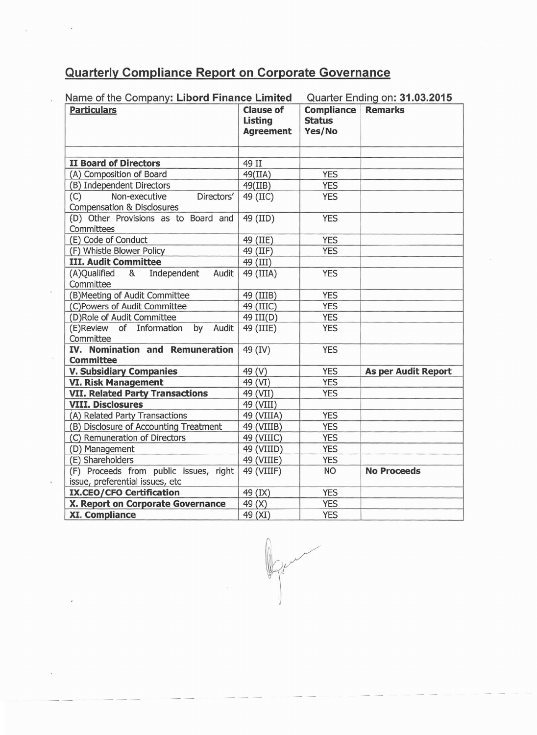## **Quarterly Compliance Report on Corporate Governance**

| Name of the Company: Libord Finance Limited                                 |                                                        |                                              | Quarter Ending on: 31.03.2015 |
|-----------------------------------------------------------------------------|--------------------------------------------------------|----------------------------------------------|-------------------------------|
| <b>Particulars</b>                                                          | <b>Clause of</b><br><b>Listing</b><br><b>Agreement</b> | <b>Compliance</b><br><b>Status</b><br>Yes/No | <b>Remarks</b>                |
| <b>II Board of Directors</b>                                                | 49 II                                                  |                                              |                               |
| (A) Composition of Board                                                    | 49(IIA)                                                | <b>YES</b>                                   |                               |
| (B) Independent Directors                                                   | 49(IIB)                                                | <b>YES</b>                                   |                               |
| Non-executive<br>(C)<br>Directors'<br><b>Compensation &amp; Disclosures</b> | 49 (IIC)                                               | <b>YES</b>                                   |                               |
| (D) Other Provisions as to Board and<br>Committees                          | 49 (IID)                                               | <b>YES</b>                                   |                               |
| (E) Code of Conduct                                                         | 49 (IIE)                                               | <b>YES</b>                                   |                               |
| (F) Whistle Blower Policy                                                   | 49 (IIF)                                               | <b>YES</b>                                   |                               |
| <b>III. Audit Committee</b>                                                 | 49 (III)                                               |                                              |                               |
| (A)Qualified<br>Independent<br>&<br>Audit<br>Committee                      | 49 (IIIA)                                              | <b>YES</b>                                   |                               |
| (B) Meeting of Audit Committee                                              | 49 (IIIB)                                              | <b>YES</b>                                   |                               |
| (C)Powers of Audit Committee                                                | 49 (IIIC)                                              | <b>YES</b>                                   |                               |
| (D)Role of Audit Committee                                                  | 49 III(D)                                              | <b>YES</b>                                   |                               |
| (E)Review of Information by Audit<br>Committee                              | 49 (IIIE)                                              | <b>YES</b>                                   |                               |
| IV. Nomination and Remuneration<br><b>Committee</b>                         | 49 (IV)                                                | <b>YES</b>                                   |                               |
| <b>V. Subsidiary Companies</b>                                              | 49 (V)                                                 | <b>YES</b>                                   | <b>As per Audit Report</b>    |
| <b>VI. Risk Management</b>                                                  | 49 (VI)                                                | <b>YES</b>                                   |                               |
| <b>VII. Related Party Transactions</b>                                      | 49 (VII)                                               | <b>YES</b>                                   |                               |
| <b>VIII. Disclosures</b>                                                    | 49 (VIII)                                              |                                              |                               |
| (A) Related Party Transactions                                              | 49 (VIIIA)                                             | <b>YES</b>                                   |                               |
| (B) Disclosure of Accounting Treatment                                      | 49 (VIIIB)                                             | <b>YES</b>                                   |                               |
| (C) Remuneration of Directors                                               | 49 (VIIIC)                                             | <b>YES</b>                                   |                               |
| (D) Management                                                              | 49 (VIIID)                                             | <b>YES</b>                                   |                               |
| (E) Shareholders                                                            | 49 (VIIIE)                                             | <b>YES</b>                                   |                               |
| (F) Proceeds from public issues, right<br>issue, preferential issues, etc   | 49 (VIIIF)                                             | <b>NO</b>                                    | <b>No Proceeds</b>            |
| <b>IX.CEO/CFO Certification</b>                                             | 49 (IX)                                                | <b>YES</b>                                   |                               |
| X. Report on Corporate Governance                                           | 49 (X)                                                 | <b>YES</b>                                   |                               |
| <b>XI. Compliance</b>                                                       | 49 (XI)                                                | <b>YES</b>                                   |                               |